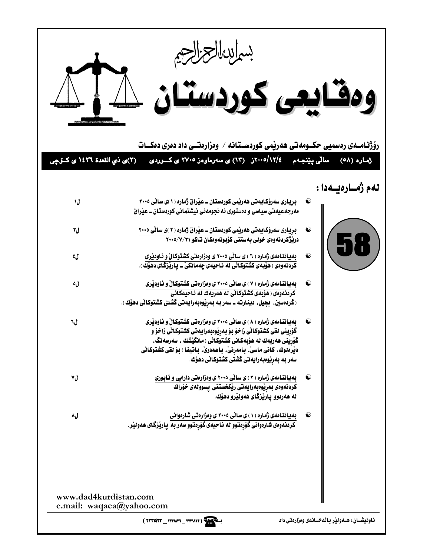| (٣)ی ذي القعدة ١٤٢٦ ی کـــوّــي | ومقايعى كوردستان كليك<br>رۆژنـامــەی رەسمیی حکــومەتی ھەرپمی کوردســتـانـە / وەزارەتــی داد دەری دەكـــات<br>۲۰۰۵/۱۲/٤ز (۱۳) ی سهرماوهز ۲۷۰۵ ی کسوردی                                                                                                                                                                                      | سالی پێنجهم            | ژماره (۵۸)                                           |
|---------------------------------|--------------------------------------------------------------------------------------------------------------------------------------------------------------------------------------------------------------------------------------------------------------------------------------------------------------------------------------------|------------------------|------------------------------------------------------|
| ل۱                              | <u>برپیاری سەرۆکای</u> ەتی ھەرپْمی کوردستان ــ عیْراق ژمارە (۱ )ی سانّی ۲۰۰۵<br>مەرجەعیەتی سیاسی و دەستوری ئە نجومەنی نیشتمانی کوردستان ــ عیْراق                                                                                                                                                                                          |                        | لەم ژەسارەيسەدا :                                    |
| ل۳                              | بریاری سەرۆکایەتی ھەرێمی کوردستان ــ عیّراق ژمارە ( ۲ )ی ساٽی ۲۰۰۵<br>دریّژکردنەوەی خولی بەستنی کۆبونەوەکان تاکو ۲۰۰۵/۷/۳۱                                                                                                                                                                                                                 | $\hat{\mathbf{C}}$     |                                                      |
| ل≵                              | بهیاننامهی ژماره ( ٦ ) ی سانّی ۲۰۰۵ ی وهزارهتی کشتوکالْ و نـاودیّری<br>کردنهوهی ( هۆبهی کشتوکانی له نـاحیهی چهمانکیْ – پاریّزگای دهوّك ).                                                                                                                                                                                                  | $\mathbf{\widehat{e}}$ | $\bullet$                                            |
| ل٥                              | بهیاننامهی ژماره ( ۷ ) ی سائی ۲۰۰۵ ی وهزارهتی کشتوکال ّو نـاودیّری<br>کردنهوهی ( هوّبهی کشتوکانی له ههریهك له نـاحیهکانی<br>(گردهسین، بجیل، دینـارتـه ــ سهر بـه بـهرِیّوهبـهرایـهتی گشتی کشتوکانی دهوّك ).                                                                                                                                | $\hat{\mathbf{C}}$     |                                                      |
| ل۲                              | بهیاننامهی ژماره ( ۸ ) ی سانّی ۲۰۰۵ ی وهزارهتی کشتوکالّ و ئـاودیّری<br>کَوِّرِینی لقی کشتوکانّی زاخوْ بِوْ بِهرِیْوهِبهرایهتی کشتوکانّی زاخوّ و<br>گوْرِینی ههریهك له هوِّبهكانی كشتوكانّی ( مانگیّشك ، سهرسهنگ،<br>ديْرَهلوك، كانى ماسىٰ، بـامەرنىٰ، بـاعەدرىٰ، بـاتيفـا ) بـۆ لقى كشتوكـانى<br>سەر بە بەرێوەبەرايەتى گشتى كشتوكاٽى دھۆك. | $\mathbf{\Theta}$      |                                                      |
| ٧Ĵ                              | بهیاننامهی ژماره ( ۳ ) ی سانی ۲۰۰۵ ی وهزارهتی دارایی و نابوری<br>كردنهوهى بهريوهبهرايهتي ريكخستني يسوولهى خوراك<br>له ههردوو يارێزگای ههولێرو دهوٚك.                                                                                                                                                                                       | $\bullet$              |                                                      |
| ل۸                              | بهیاننامهی ژماره (۱) ی سانی ۲۰۰۵ ی وهزارهتی شارهوانی<br><mark>کردن</mark> ەوەی شارەوانى گۆرەتنوو لە نـاحيەی گۆرەتنوو سەر بـه  يـارێزگـای ھەولێر                                                                                                                                                                                            | $\mathbf{\hat{c}}$     |                                                      |
| www.dad4kurdistan.com           | e.mail: waqaea@yahoo.com<br>(TTTLETT TYTUTI TYTUTT)                                                                                                                                                                                                                                                                                        |                        | ناونیشــان : هــهولیّر بـالّـه خــانـهى ومزارهتى داد |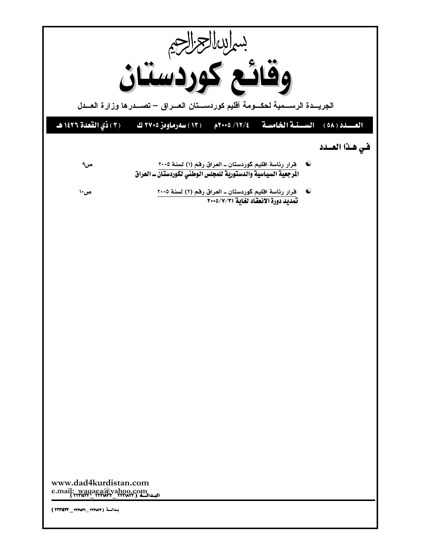| بساسالعزاج<br>وقائع كوردستان       |                                                                                                                                     |  |  |  |
|------------------------------------|-------------------------------------------------------------------------------------------------------------------------------------|--|--|--|
|                                    |                                                                                                                                     |  |  |  |
| (٣) ذي القعدة ١٤٢٦ هـ              | السنسة الخامسة م/١٢/ ٢٠٠٥م<br>$(0\lambda)$ العسيد<br>( ١٣ ) سەرماوەز ٢٧٠٥ ك                                                         |  |  |  |
|                                    | في هذا العسدد                                                                                                                       |  |  |  |
| ص۹                                 | قرار رئاسة اقليم كوردستان ــ العراق رقم (١) لسنة ٢٠٠٥<br>$\bullet$<br>المرجعية السياسية والدستورية للمجلس الوطني لكوردستان _ العراق |  |  |  |
| ص۱۰                                | <u>قرار رئاسة اقليم كوردستان ـ العراق رفم (٢) لسنة ٢٠٠٥</u><br><b>تمديد دورة الانعقاد لغاية ٢٠٠</b> ٥/٧/٣١<br>$\bullet$             |  |  |  |
|                                    |                                                                                                                                     |  |  |  |
|                                    |                                                                                                                                     |  |  |  |
|                                    |                                                                                                                                     |  |  |  |
|                                    |                                                                                                                                     |  |  |  |
|                                    |                                                                                                                                     |  |  |  |
|                                    |                                                                                                                                     |  |  |  |
|                                    |                                                                                                                                     |  |  |  |
|                                    |                                                                                                                                     |  |  |  |
|                                    |                                                                                                                                     |  |  |  |
|                                    |                                                                                                                                     |  |  |  |
|                                    |                                                                                                                                     |  |  |  |
|                                    |                                                                                                                                     |  |  |  |
|                                    |                                                                                                                                     |  |  |  |
|                                    | www.dad4kurdistan.com<br>e.mail: waqaea@yahoo.com                                                                                   |  |  |  |
| بدائة ( ٢٢٢٧٣٦_ ٢٢٢٧٣٦ ) ( ٢٢٣١٤٣٣ |                                                                                                                                     |  |  |  |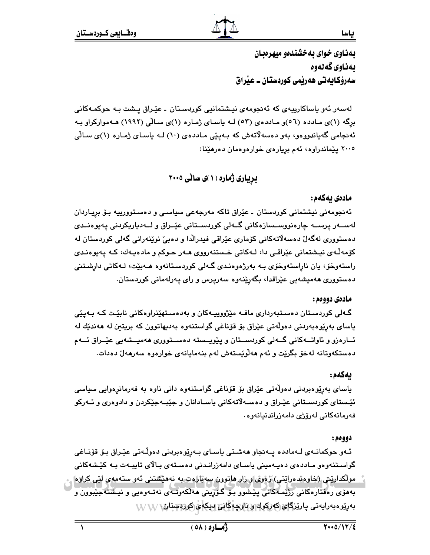ياسا

بهناوی خوای به خشندهو میهرهبان ىەناوى گەنەوە سەرۆكايەتى ھەريمى كوردستان ــ عيراق

لەسەر ئەو ياساكارىيەي كە ئەنجومەي نيـشتمانيى كوردسـتان ـ عێـراق يـشت بـە حوكمـەكانى برِگه (۱)ی مادده (٥٦)و ماددهی (٥٣) لـه یاسـای ژمـاره (۱)ی سـالّی (١٩٩٢) هـهموارکراو بـه ئەنجامى گەياندورەو، بەر دەسەلاتەش كە بـەيێى مـاددەى (١٠) لـە ياسـاى ژمـارە (١)ى سـالّى ۲۰۰۵ پیماندراوه، ئەم بړیارەی خوارەوەمان دەرھیدا:

بریباری ژماره ( ۱ )ی سانی ۲۰۰۵

## مادەى يەكەم :

ئەنجومەنى نيشتمانى كوردستان ـ عێراق تاكە مەرجەعى سياسـى و دەسـتوورىيە بـۆ بريـاردان لەســەر پرســە چارەنووســسازەكانى گــەلى كوردســتانى عێــراق و لــەدياريكردنى يەيوەنــدى دەستوررى لەگەل دەسەلاتەكانى كۆمارى عێراقى فيدرالدا و دەبى نوێنەرانى گەلى كوردستان لە کۆمەڵەي نيشتمانى عێراقــي دا، لــەکاتـي خـستنـەرووي ھــەر حــوکم و مادەپــەك، کــە پـەيوەنـدى راستەوخۆ، يان ناراستەوخۆى بـه بەرژەوەنـدى گـەلى كوردسـتانەوە ھــەبێت، لـەكاتى دارشـتنى دەستوورى ھەمىشەيى عێراقدا، بگەرێنەوە سەرپرس و راى پەرلەمانى كوردستان.

### مادەي دووەم:

گـهلی کوردسـتان دهسـتبهرداری مافـه مێژووییـهکان و بهدهسـتهێنراوهکانی نابێت کـه بـهیێی پاسای بەرێوەبەردنى دەولّەتى عێراق بۆ قۆناغى گواستنەوە بەدىھاتوون كە بريتين لە ھەندێك لە ئــارەزو و ئاواتــەكانى گــەلى كوردســتان و پێويــسته دەســتوورى ھەمپــشەيى عێــراق ئــەم دەستكەوتانە لەخۆ بگرێت و ئەم ھەلوێستەش لەم بنەمايانەي خوارەوە سەرھەل دەدات.

### ىەكەم:

ياساي بەرێوەبردنى دەولّەتى عێراق بۆ قۆناغى گواستنەوە دانى ناوە بە فەرمانرەوايى سياسى ئێـستای کوردسـتانی عێـراق و دەسـﻪلاّتەکانی یاسـادانان و جێبـﻪجێکردن و دادوەری و ئـﻪرکو فەرمانەكانى لەرۆژى دامەزراندنيانەوە.

### دوومم:

ئـهو حوكمانـهى لـهمادده يـهنجاو ههشـتى ياسـاى بـهرێوهبردنى دهوڵـهتى عێـراق بـۆ قۆنـاغى گواسـتنەوەو مـاددەی دەپـەمينى ياسـای دامەزرانـدنى دەسـتەی بـالای تايبـەت بـە كێـشەكانى مولکداریتی (جاوهندهرایتی) ژەوی و زار ماتوون سەبارەت بە نەمیشتنی ئەو ستەمەی لیی کراوه بههۆی رەفتارەكانى رژێمەكانى يێشوو بىۆ گۆرپىنى ھەلكەوتـەي نەتـەوەيى و نيشتەجێبوون و <u>بەرىرەبەرايەتى يارىزگاي كەركوك ورناوچەڭانى دېكەي كورېستان ۱،</u>۱۷ /۱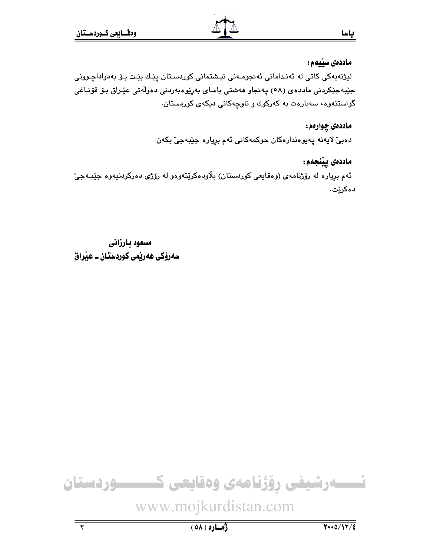# ماددەى سێيەم :

ياسا

لیژنهیهکی کاتی له ئەندامانی ئەنجومەنی نیشتمانی کوردستان پێك بێت بۆ بەدواداچوونی جێبەجێکردنی ماددەی (٥٨) پەنجاو ھەشتى ياسای بەرپّوەبەردنى دەولّەتى عێراق بىۆ قۆنـاغى گواستنەوە، سەبارەت بە كەركوك و ناوچەكانى دىكەى كوردستان.

## ماددهۍ چوارهم:

دەبىّ لايەنە پەيوەندارەكان حوكمەكانى ئەم برِيارە جێبەجىّ بكەن.

# ماددەى يێنجەم:

ئهم بړياره له رۆژنامهى (وهقايعى كوردستان) بلاودهكرێتهوهو له رۆژى دەركردنيهوه جێبـهجىٚ دەكرێت.

مسعود يارزاني سەرۆكى ھەرپمى كوردستان ــ عيراق



www.mojkurdistan.com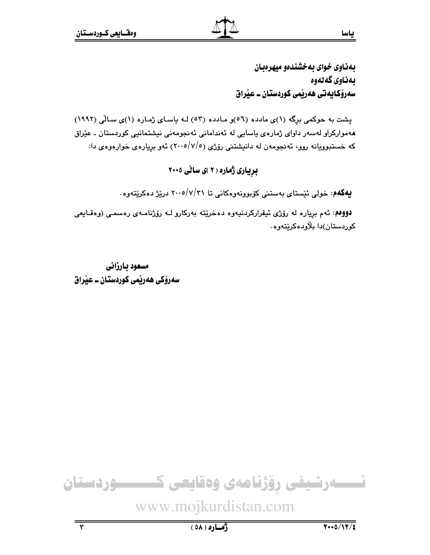بهناوی خوای به خشندهو میهرهبان ىمناوى گەنەوە سەرۆكايەتى ھەربمى كوردستان ــ عيراق

ياسا

یشت به حوکمی برگه (۱)ی مادده (٥٦)و مادده (٥٣) لـه یاسای ژماره (۱)ی سالّی (١٩٩٢) مەمواركراو لەسەر داوا*ی* ژمارەی ياسايى لە ئەندامانى ئەنجومەنى نيشتمانيى كوردستان ـ عێراق که خستبوویانه روو، ئهنجومهن له دانیشتنی رۆژی (۲۰۰۵/۷/۰) ئهو بریارهی خوارهوهی دا:

بریباری ژماره (۲)ی سالی ۲۰۰۵

**یهکهم**: خولی ئیّستای بهستنی کۆبوونهوهکانی تا ۲۰۰۵/۷/۳۱ دریزژ دهکریتهوه.

دووهم: ئهم برياره له رۆژى ئيقراركردنيەوه دەخريته بەركارو لـه رۆژنامـهى رەسمـى (وەقـايعى کوردستان)دا بلاودهکریتهوه٠

مسعود بارزاني سەرۆكى ھەرپمى كوردستان ــ عيْراق



www.mojkurdistan.com

 $\overline{\mathbf{r}}$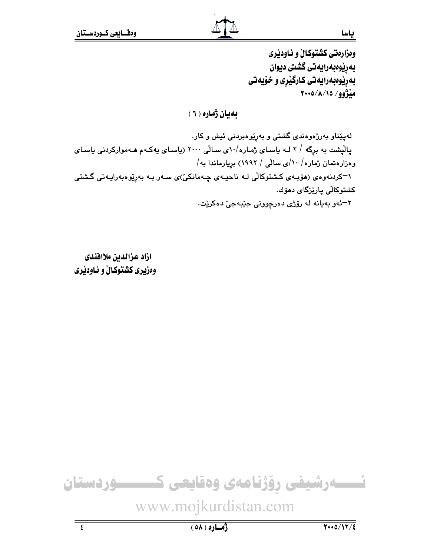وهزارهتي كشتوكالٌ و ئـاودێري بەرپوەبەرايەتى گشتى ديوان بهریوهبهرایهتی کارگیری و خویهتی  $Y \cdot 0 / \Lambda / 10 / 99$ 

ياسا

بهيان ژماره ( ٦ )

لهیپّناو بهرژهوهندی گشتی و بهرێوهبردنی ئیش و کار. پالْیشت به برِگه / ۲ لـه یاسـای ژمـاره/۵۰ ی سـالّی ۲۰۰۰ (یاسـای یهکـهم هـهموارکردنی یاسـای وەزارەتمان ژمارە $\backslash\cdot/\backslash$ ى سالْمى $\backslash\wr\cdot$ ۱۹۹۲) بريارماندا بە

۱–کردنهوهی (هۆبـهی کـشتوکالّی لـه ناحیـهی چـهمانکیّ)ی سـهر بـه بهڕێوهبهرایـهتی گـشتی <mark>كشتوكالى يارێزگاى دم</mark>ۆك.

٢–ئەو بەيانە لە رۆژى دەرچوونى جێبەجىٚ دەكرێت.

ازاد عزالدين ملاافندى وهزیری کشتوکالْ و ئاودیری



www.mojkurdistan.com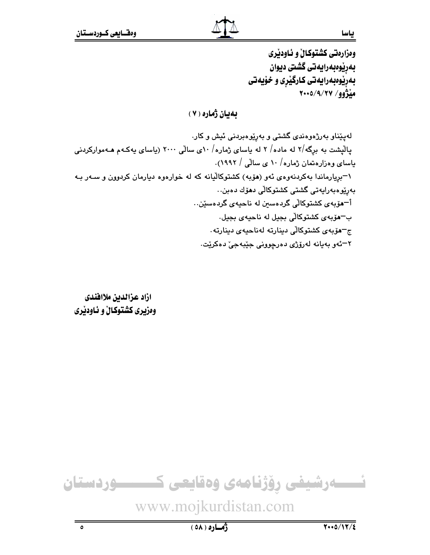ياسا

وهزارهتي كشتوكالٌ و ئـاودێري بەرپوەبەرايەتى گشتى ديوان بهرێوهبهرايهتي کـارگێری و خۆيەتی  $Y \cdot 0 / 9 / 7Y / 99$ 

بهيان ژماره ( ۷ )

لهیپّناو بهرژهوهندی گشتی و بهرێوهبردنی ئیش و کار. پالیشت به برگه/۲ له ماده/ ۲ له پاسای ژماره/ ۱۰ی سالی ۲۰۰۰ (پاسای پهکـهم هـهموارکردنی پاسای وهزارهتمان ژماره/ ۱۰ ی سالی / ۱۹۹۲). ۱–بریارماندا بهکردنهوهی ئهو (هۆبه) کشتوکالیانه که له خوارهوه دیارمان کردوون و سـهر بـه بەريوەبەرايەتى گشتى كشتوكالى دھۆك دەبن… أ−مۆبەی كشتوكالى گردەسىن لە ناحيەی گردەسێن… ب-هۆپەي كشتوكالى بجيل له ناحيەي بجيل. ج–هۆبەي كشتوكالى دىنارتە لەناحيەي دىنارتە. ٢–ئەو بەيانە لەرۆژى دەرچوونى جێبەجىٚ دەكرێت.

ازاد عزالدين ملاافندى وهزیری کشتوکالْ و ناودیری

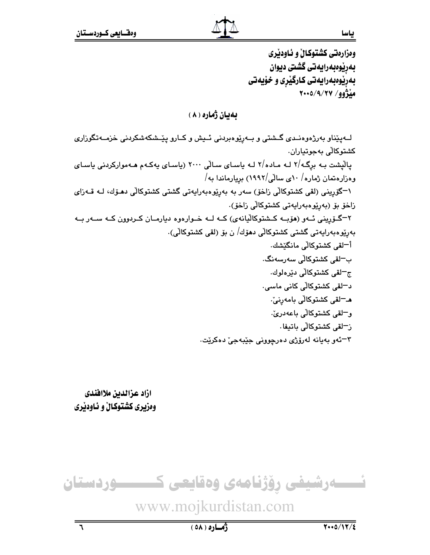ياسا

وهزارهتي كشتوكال و ئـاودێري بەرێوەبەرايەتى گشتى ديوان بهرێوهبهرايهتي کـارگێری و خۆيەتی  $Y \cdot 0 / 9 / 7V / 99$ مَدْژُو

بهيان ژماره ( ۸ )

لــهیێناو بهرژهوهنـدی گــشتی و بــهرێوهبردنی ئــیش و کــارو یێـشکهشکردنی خزمــهتگوزاری کشتوکالّی بهجوتیاران. پالیشت بـه برگـه/۲ لـه مـاده/۲ لـه پاسـای سـالّی ۲۰۰۰ (پاسـای پهکـهم هـهموارکردنی پاسـای وەزارەتمان ژمارە/ ١٠ى سالى/١٩٩٢) بريارماندا بە/ ۱–گۆرىنى (لقى كشتوكالى زاخۆ) سەر بە بەرپوەبەرايەتى گشتى كشتوكالى دھىۆك، لــە قــەزاي زاخۆ بۆ (بەرێوەبەرايەتى كشتوكالى زاخۆ). ۲–گـۆرپنی ئـهو (هۆبـه كـشتوكاليانهى) كـه لـه خـوارهوه ديارمـان كـردوون كـه سـهر بـه بەرپوەبەرايەتى گشتى كشتوكالى دمۆك/ ن بۆ (لقى كشتوكالى). أ−لقى كشتوكالّى مانگێشك٠ ب<sup>—</sup>لقى كشتوكاڵى سەرسەنگ. ج–لقي کشتوکالّي دێرەلوك. د−لقی کشتوکالّی کانی ماسی. هـ–لقى كشتوكالى بامەرنىٚ. و<sup>—</sup>لقي كشتوكالّي باعهدريّ. ز<sup>ـــ</sup>لقى كشتوكالّى باتيفا . ٣–ئەو بەيانە لەرۆژى دەرچوونى جێبەجىٚ دەكرێت.

ازاد عزالدين ملاافندي وهزیری کشتوکالْ و ناودیری



www.mojkurdistan.com

 $\overline{\mathbf{r}}$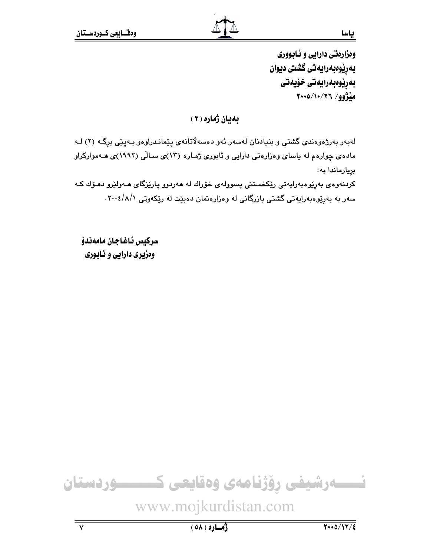ومزارهتي دارايي و ئـابـووري بەريوەبەرايەتى گشتى ديوان بەرێوەبەرايەتى خۆيەتى منْزُوو/ ٢٠٠٥/١٠/٢٦

بهيان ژماره ( ٣ )

لهبهر بهرژهوهندي گشتي و بنيادنان لهسهر ئهو دهسهلاتانهي پێماندراوهو بهيێي برگه (٢) لـه مادهی چوارهم له پاسای وهزارهتی دارایی و ئابوری ژماره (۱۳)ی سـالّی (۱۹۹۲)ی هـهموارکراو بريارماندا به:

کردنهوهی بهرێومبهرایهتی رێِکخستنی پسوولهی خۆراك له ههردوو پارێزگای هــهولێرو دهـۆك کـه سهر به بهرپیوهبهرایهتی گشتی بازرگانی له وهزارهتمان دهبیدت له ریکهوتی ۰۲۰۰٤/۸/۱

سركيس ئاغاجان مامەندۆ وهزیری دارایی و نابوری

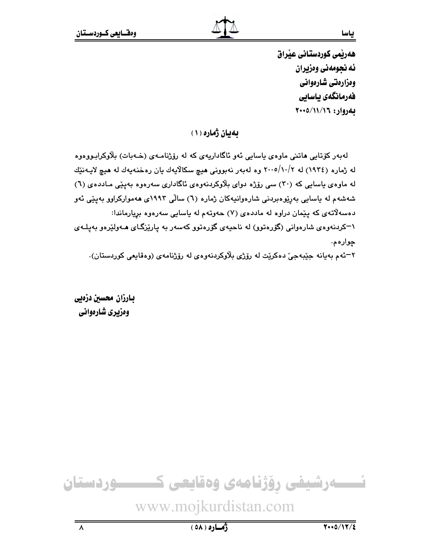هەربمى كوردستانى عيراق ئه نجومهني ومزيران وەزارەتى شارەوانى فەرمانگەي ياسابى بهروار: ٢٠٠٥/١١/١٦

بهيان ژماره (١)

لەبەر كۆتابى ھاتنى ماوەي باسابى ئەو ئاگاداريەي كە لە رۆژنامـەي (خـەبات) بلاوكرابـووەوە له ژماره (١٩٣٤) له ٢٠٠٥/١٠/٢ وه لهبهر نهبووني هيچ سكالايهك يان رهخنهيهك له هيچ لايـهنێك له ماوهی یاسایی که (۳۰) سی رۆژه دوای بلاوکردنهوهی ئاگاداری سهرهوه بهپێی مـاددهی (٦) شەشەم لە ياسايى بەرێوەبردنى شارەوانيەكان ژمارە (٦) سالى ١٩٩٢ى ھەمواركراوو بەيێى ئەو دهسه لاتهی که پیّمان دراوه له ماددهی (۷) حهوتهم له پاسایی سهرهوه بریارماندا: ۱–کردنهوهی شارهوانی (گۆرەتوو) له ناحیهی گۆرەتوو کەسەر بە پارێزگـای ھـﻪولێرەو بەيلـﻪی چوارهم.

٢–ئەم بەيانە جێبەجىٰ دەكرێت لە رۆژى بلاوكردنەوەي لە رۆژنامەي (وەقايعى كوردستان).

بارزان محسين دزهيي وهزيري شارهواني

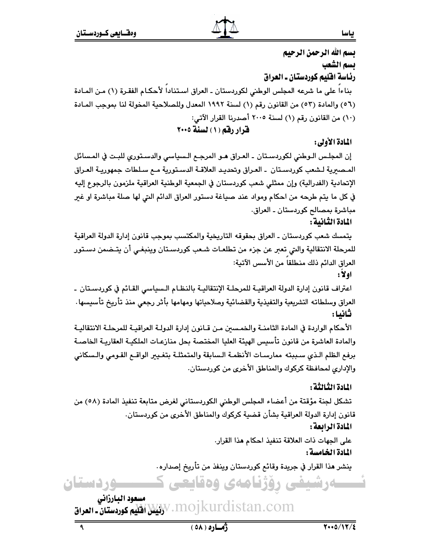بسم الله الرحمن الرحيم يسم الشعب رئاسة اقليم كوردستان ـ العراق بناءا على ما شرعه المجلس الوطني لكوردستان ـ العراق اسـتناداً لأحكـام الفقـرة (١) مـن المـادة (٥٦) والمادة (٥٣) من القانون رقم (١) لسنة ١٩٩٢ المعدل وللصلاحية المخولة لنا بموجب المـادة (١٠) من القانون رقم (١) لسنة ٢٠٠٥ أصدرنا القرار الآتي: قرار رقم (١) لسنة ٢٠٠٥

## المادة الأولى:

إن المجلس الـوطني لكوردسـتان ـ العـراق هـو المرجـع الـسياسي والدسـتوري للبـت في المـسائل المـصبرية لـشعب كوردسـتان ـ العـراق وتحديـد العلاقـة الدسـتورية مـم سـلطات جمهوريـة العـراق الإتحادية (الفدرالية) وإن ممثلي شعب كوردستان في الجمعية الوطنية العراقية ملزمون بالرجوع إليه في كل ما يتم طرحه من احكام ومواد عند صياغة دستور العراق الدائم التي لها صلة مباشرة او غبر مباشرة بمصالح كوردستان ـ العراق.

المادة الثنانية :

يتمسك شعب كوردستان ـ العراق بحقوقه التاريخية والمكتسب بموجب قانون إدارة الدولة العراقية للمرحلة الانتقالية والتي تعبر عن جزء من تطلعـات شـعب كوردسـتان وينبغـي أن يتـضمن دسـتور العراق الدائم ذلك منطلقا من الأسس الآتية:

اولا:

اعتراف قانون إدارة الدولة العراقيــة للمرحلــة الإنتقاليــة بالنظـام الـسياسي القـائم في كوردسـتان ـ العراق وسلطاته التشريعية والتفيذية والقضائية وصلاحياتها ومهامها بأثر رجعى منذ تأريخ تأسيسها ثانيا :

الأحكام الواردة في المادة الثامنــة والخمسين مـن قـانون إدارة الدولـة العراقيـة للمرحلـة الانتقاليـة والمادة العاشرة من قانون تأسيس الهيئة العليا المختصة بحل منازعـات الملكيـة العقاريـة الخاصـة برفع الظلم الـذي سـببته ممارسـات الأنظمـة الـسابقة والمتمثلـة بتغـيير الواقــع القـومي والـسكاني والإداري لمحافظة كركوك والمناطق الأخرى من كوردستان.

المادة الثالثة :

تشكل لجنة مؤقتة من أعضاء المجلس الوطني الكوردستاني لغرض متابعة تنفيذ المادة (٥٨) من قانون إدارة الدولة العراقية بشأن قضية كركوك والمناطق الأخرى من كوردستان. المادة الرابعة :

على الجهات ذات العلاقة تنفيذ احكام هذا القرار. المادة الخامسة :

ينشر هذا القرار في جريدة وقائم كوردستان وينفذ من تأريخ إصداره٠

۔وشیفی روژنامەی وەقايعی ك

مسعود البارزاني W. MOJ kurdistan.com، المَيْسُلُ افْتَلِيم كوردستان ـ العراق

٩

**وردستان** 

ياسا